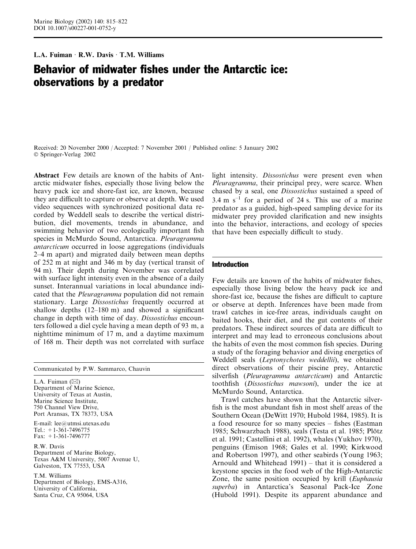L.A. Fuiman R.W. Davis T.M. Williams

# Behavior of midwater fishes under the Antarctic ice: observations by a predator

Received: 20 November 2000 / Accepted: 7 November 2001 / Published online: 5 January 2002 Springer-Verlag 2002

Abstract Few details are known of the habits of Antarctic midwater fishes, especially those living below the heavy pack ice and shore-fast ice, are known, because they are difficult to capture or observe at depth. We used video sequences with synchronized positional data recorded by Weddell seals to describe the vertical distribution, diel movements, trends in abundance, and swimming behavior of two ecologically important fish species in McMurdo Sound, Antarctica. Pleuragramma antarcticum occurred in loose aggregations (individuals 2–4 m apart) and migrated daily between mean depths of 252 m at night and 346 m by day (vertical transit of 94 m). Their depth during November was correlated with surface light intensity even in the absence of a daily sunset. Interannual variations in local abundance indicated that the Pleuragramma population did not remain stationary. Large Dissostichus frequently occurred at shallow depths (12–180 m) and showed a significant change in depth with time of day. Dissostichus encounters followed a diel cycle havinga mean depth of 93 m, a nighttime minimum of 17 m, and a daytime maximum of 168 m. Their depth was not correlated with surface

Communicated by P.W. Sammarco, Chauvin

L.A. Fuiman  $(\boxtimes)$ Department of Marine Science, University of Texas at Austin, Marine Science Institute, 750 Channel View Drive, Port Aransas, TX 78373, USA

E-mail: lee@utmsi.utexas.edu Tel.: +1-361-7496775 Fax: +1-361-7496777

R.W. Davis Department of Marine Biology, Texas A&M University, 5007 Avenue U, Galveston, TX 77553, USA

T.M. Williams Department of Biology, EMS-A316, University of California, Santa Cruz, CA 95064, USA

light intensity. Dissostichus were present even when Pleuragramma, their principal prey, were scarce. When chased by a seal, one Dissostichus sustained a speed of  $3.4 \text{ m s}^{-1}$  for a period of 24 s. This use of a marine predator as a guided, high-speed sampling device for its midwater prey provided clarification and new insights into the behavior, interactions, and ecology of species that have been especially difficult to study.

## Introduction

Few details are known of the habits of midwater fishes, especially those living below the heavy pack ice and shore-fast ice, because the fishes are difficult to capture or observe at depth. Inferences have been made from trawl catches in ice-free areas, individuals caught on baited hooks, their diet, and the gut contents of their predators. These indirect sources of data are difficult to interpret and may lead to erroneous conclusions about the habits of even the most common fish species. During a study of the foraging behavior and diving energetics of Weddell seals (Leptonychotes weddellii), we obtained direct observations of their piscine prey, Antarctic silverfish (Pleuragramma antarcticum) and Antarctic toothfish (Dissostichus mawsoni), under the ice at McMurdo Sound, Antarctica.

Trawl catches have shown that the Antarctic silverfish is the most abundant fish in most shelf areas of the Southern Ocean (DeWitt 1970; Hubold 1984, 1985). It is a food resource for so many species – fishes (Eastman 1985; Schwarzbach 1988), seals (Testa et al. 1985; Plötz et al. 1991; Castellini et al. 1992), whales (Yukhov 1970), penguins (Emison 1968; Gales et al. 1990; Kirkwood and Robertson 1997), and other seabirds (Young 1963; Arnould and Whitehead 1991) – that it is considered a keystone species in the food web of the High-Antarctic Zone, the same position occupied by krill (Euphausia superba) in Antarctica's Seasonal Pack-Ice Zone (Hubold 1991). Despite its apparent abundance and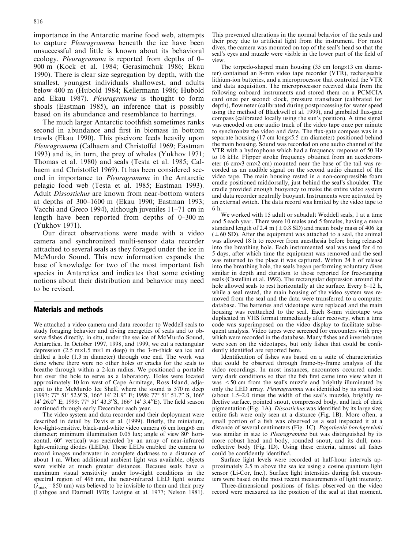importance in the Antarctic marine food web, attempts to capture Pleuragramma beneath the ice have been unsuccessful and little is known about its behavioral ecology. Pleuragramma is reported from depths of 0– 900 m (Kock et al. 1984; Gerasimchuk 1986; Ekau 1990). There is clear size segregation by depth, with the smallest, youngest individuals shallowest, and adults below 400 m (Hubold 1984; Kellermann 1986; Hubold and Ekau 1987). Pleuragramma is thought to form shoals (Eastman 1985), an inference that is possibly based on its abundance and resemblance to herrings.

The much larger Antarctic toothfish sometimes ranks second in abundance and first in biomass in bottom trawls (Ekau 1990). This piscivore feeds heavily upon Pleuragramma (Calhaem and Christoffel 1969; Eastman 1993) and is, in turn, the prey of whales (Yukhov 1971; Thomas et al. 1980) and seals (Testa et al. 1985; Calhaem and Christoffel 1969). It has been considered second in importance to Pleuragramma in the Antarctic pelagic food web (Testa et al. 1985; Eastman 1993). Adult Dissostichus are known from near-bottom waters at depths of 300–1600 m (Ekau 1990; Eastman 1993; Vacchi and Greco 1994), although juveniles 11–71 cm in length have been reported from depths of 0–300 m (Yukhov 1971).

Our direct observations were made with a video camera and synchronized multi-sensor data recorder atttached to several seals as they foraged under the ice in McMurdo Sound. This new information expands the base of knowledge for two of the most important fish species in Antarctica and indicates that some existing notions about their distribution and behavior may need to be revised.

#### Materials and methods

We attached a video camera and data recorder to Weddell seals to study foraging behavior and diving energetics of seals and to observe fishes directly, in situ, under the sea ice of McMurdo Sound, Antarctica. In October 1997, 1998, and 1999, we cut a rectangular depression  $(2.5 \text{ m} \times 1.5 \text{ m} \times 1 \text{ m}$  deep) in the 3-m-thick sea ice and drilled a hole (1.3 m diameter) through one end. The work was done where there were no other holes or cracks for the seals to breathe through within a 2-km radius. We positioned a portable hut over the hole to serve as a laboratory. Holes were located approximately 10 km west of Cape Armitage, Ross Island, adjacent to the McMurdo Ice Shelf, where the sound is 570 m deep (1997: 77° 51′ 52.9″S, 166° 14′ 21.9″ E; 1998: 77° 51′ 51.7″ S, 166<sup>°</sup> 14′ 26.0″ E; 1999: 77° 51′ 43.3″S, 166° 14′ 3.4″E). The field season continued through early December each year.

The video system and data recorder and their deployment were described in detail by Davis et al. (1999). Briefly, the miniature, low-light-sensitive, black-and-white video camera (6 cm long×6 cm diameter; minimum illumination 0.05 lux; angle of view  $80^{\circ}$  horizontal,  $60^\circ$  vertical) was encircled by an array of near-infrared light-emitting diodes (LEDs). These LEDs enabled the camera to record images underwater in complete darkness to a distance of about 1 m. When additional ambient light was available, objects were visible at much greater distances. Because seals have a maximum visual sensitivity under low-light conditions in the spectral region of 496 nm, the near-infrared LED light source  $(\lambda_{\text{max}}=850 \text{ nm})$  was believed to be invisible to them and their prey (Lythgoe and Dartnell 1970; Lavigne et al. 1977; Nelson 1981). This prevented alterations in the normal behavior of the seals and their prey due to artificial light from the instrument. For most dives, the camera was mounted on top of the seal's head so that the seal's eyes and muzzle were visible in the lower part of the field of view.

The torpedo-shaped main housing  $(35 \text{ cm} \text{ long} \times 13 \text{ cm} \text{ diam}$ ter) contained an 8-mm video tape recorder (VTR), rechargeable lithium-ion batteries, and a microprocessor that controled the VTR and data acquisition. The microprocessor received data from the following onboard instruments and stored them on a PCMCIA card once per second: clock, pressure transducer (calibrated for depth), flowmeter (calibrated during postprocessing for water speed using the method of Blackwell et al. 1999), and gimbaled flux-gate compass (calibrated locally using the sun's position). A time signal was encoded on one audio track of the video tape once per minute to synchronize the video and data. The flux-gate compass was in a separate housing  $(17 \text{ cm} \text{ long} \times 5.5 \text{ cm} \text{ diameter})$  positioned behind the main housing. Sound was recorded on one audio channel of the VTR with a hydrophone which had a frequency response of 50 Hz to 16 kHz. Flipper stroke frequency obtained from an accelerometer (6 cm $\times$ 3 cm $\times$ 2 cm) mounted near the base of the tail was recorded as an audible signal on the second audio channel of the video tape. The main housing rested in a non-compressible foam cradle positioned middorsally, just behind the seal's shoulder. The cradle provided enough buoyancy to make the entire video system and data recorder neutrally buoyant. Instruments were activated by an external switch. The data record was limited by the video tape to 6 h.

We worked with 15 adult or subadult Weddell seals, 1 at a time and 5 each year. There were 10 males and 5 females, havinga mean standard length of 2.4 m ( $\pm$  0.8 SD) and mean body mass of 406 kg  $(±60$  SD). After the equipment was attached to a seal, the animal was allowed 18 h to recover from anesthesia before being released into the breathing hole. Each instrumented seal was used for 4 to 5 days, after which time the equipment was removed and the seal was returned to the place it was captured. Within 24 h of release into the breathing hole, the seals began performing voluntary dives similar in depth and duration to those reported for free-ranging seals (Castellini et al. 1992). The rectangular depression around the hole allowed seals to rest horizontally at the surface. Every 6–12 h, while a seal rested, the main housing of the video system was removed from the seal and the data were transferred to a computer database. The batteries and videotape were replaced and the main housing was reattached to the seal. Each 8-mm videotape was duplicated in VHS format immediately after recovery, when a time code was superimposed on the video display to facilitate subsequent analysis. Video tapes were screened for encounters with prey which were recorded in the database. Many fishes and invertebrates were seen on the videotapes, but only fishes that could be confidently identified are reported here.

Identification of fishes was based on a suite of characteristics that could be observed through frame-by-frame analysis of the video recordings. In most instances, encounters occurred under very dark conditions so that the fish first came into view when it was <50 cm from the seal's muzzle and brightly illuminated by only the LED array. *Pleuragramma* was identified by its small size (about 1.5–2.0 times the width of the seal's muzzle), brightly reflective surface, pointed snout, compressed body, and lack of dark pigmentation (Fig. 1A). Dissostichus was identified by its large size; entire fish were only seen at a distance (Fig. 1B). More often, a small portion of a fish was observed as a seal inspected it at a distance of several centimeters (Fig. 1C). Pagothenia borchgrevinki was similar in size to Pleuragramma but was distinguished by its more robust head and body, rounded snout, and its dull, nonreflective body (Fig. 1D). Using these criteria, almost all fishes could be confidently identified.

Surface light levels were recorded at half-hour intervals approximately 2.5 m above the sea ice usinga cosine quantum light sensor (Li-Cor, Inc.). Surface light intensities during fish encounters were based on the most recent measurements of light intensity.

Three-dimensional positions of fishes observed on the video record were measured as the position of the seal at that moment.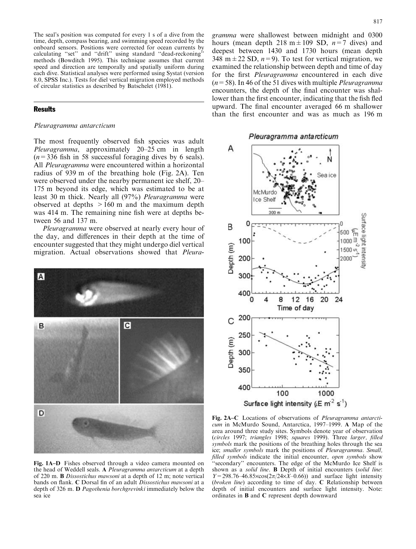The seal's position was computed for every 1 s of a dive from the time, depth, compass bearing, and swimming speed recorded by the onboard sensors. Positions were corrected for ocean currents by calculating "set" and "drift" using standard "dead-reckoning" methods (Bowditch 1995). This technique assumes that current speed and direction are temporally and spatially uniform during each dive. Statistical analyses were performed using Systat (version 8.0, SPSS Inc.). Tests for diel vertical migration employed methods of circular statistics as described by Batschelet (1981).

### Results

#### Pleuragramma antarcticum

The most frequently observed fish species was adult Pleuragramma, approximately 20–25 cm in length  $(n=336$  fish in 58 successful foraging dives by 6 seals). All Pleuragramma were encountered within a horizontal radius of 939 m of the breathing hole (Fig. 2A). Ten were observed under the nearby permanent ice shelf, 20– 175 m beyond its edge, which was estimated to be at least 30 m thick. Nearly all (97%) Pleuragramma were observed at depths  $>160$  m and the maximum depth was 414 m. The remaining nine fish were at depths between 56 and 137 m.

Pleuragramma were observed at nearly every hour of the day, and differences in their depth at the time of encounter suggested that they might undergo diel vertical migration. Actual observations showed that Pleura-



Fig. 1A–D Fishes observed through a video camera mounted on the head of Weddell seals. A Pleuragramma antarcticum at a depth of 220 m. B Dissostichus mawsoni at a depth of 12 m; note vertical bands on flank. C Dorsal fin of an adult Dissostichus mawsoni at a depth of 326 m. D Pagothenia borchgrevinki immediately below the sea ice

gramma were shallowest between midnight and 0300 hours (mean depth 218 m $\pm$ 109 SD, n=7 dives) and deepest between 1430 and 1730 hours (mean depth 348 m  $\pm$  22 SD,  $n=9$ ). To test for vertical migration, we examined the relationship between depth and time of day for the first *Pleuragramma* encountered in each dive  $(n=58)$ . In 46 of the 51 dives with multiple *Pleuragramma* encounters, the depth of the final encounter was shallower than the first encounter, indicating that the fish fled upward. The final encounter averaged 66 m shallower than the first encounter and was as much as 196 m

## Pleuragramma antarcticum



Fig. 2A–C Locations of observations of Pleuragramma antarcticum in McMurdo Sound, Antarctica, 1997-1999. A Map of the area around three study sites. Symbols denote year of observation (circles 1997; triangles 1998; squares 1999). Three larger, filled symbols mark the positions of the breathing holes through the sea ice; smaller symbols mark the positions of Pleuragramma. Small, filled symbols indicate the initial encounter, open symbols show ''secondary'' encounters. The edge of the McMurdo Ice Shelf is shown as a solid line. **B** Depth of initial encounters (solid line:  $Y=298.76-46.85\times\cos(2\pi/24\times X-0.66)$  and surface light intensity (broken line) according to time of day.  $C$  Relationship between depth of initial encounters and surface light intensity. Note: ordinates in B and C represent depth downward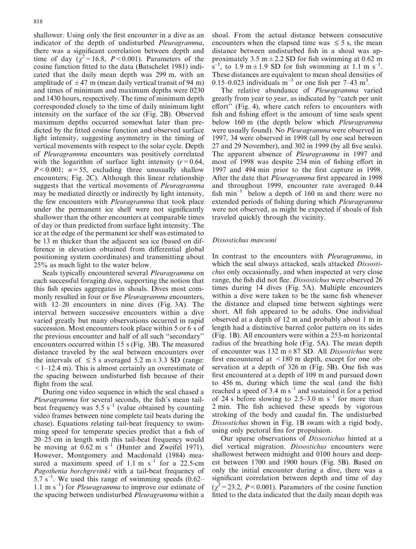shallower. Using only the first encounter in a dive as an indicator of the depth of undisturbed *Pleuragramma*, there was a significant correlation between depth and time of day  $(\chi^2 = 16.8, P < 0.001)$ . Parameters of the cosine function fitted to the data (Batschelet 1981) indicated that the daily mean depth was 299 m, with an amplitude of  $\pm$ 47 m (mean daily vertical transit of 94 m) and times of minimum and maximum depths were 0230 and 1430 hours, respectively. The time of minimum depth corresponded closely to the time of daily minimum light intensity on the surface of the ice (Fig. 2B). Observed maximum depths occurred somewhat later than predicted by the fitted cosine function and observed surface light intensity, suggesting asymmetry in the timing of vertical movements with respect to the solar cycle. Depth of Pleuragramma encounters was positively correlated with the logarithm of surface light intensity  $(r=0.64,$  $P < 0.001$ ;  $n = 55$ , excluding three unusually shallow encounters; Fig. 2C). Although this linear relationship suggests that the vertical movements of Pleuragramma may be mediated directly or indirectly by light intensity, the few encounters with Pleuragramma that took place under the permanent ice shelf were not significantly shallower than the other encounters at comparable times of day or than predicted from surface light intensity. The ice at the edge of the permanent ice shelf was estimated to be 13 m thicker than the adjacent sea ice (based on difference in elevation obtained from differential global positioning system coordinates) and transmitting about 25% as much light to the water below.

Seals typically encountered several Pleuragramma on each successful foraging dive, supporting the notion that this fish species aggregates in shoals. Dives most commonly resulted in four or five *Pleuragramma* encounters, with 12–20 encounters in nine dives (Fig. 3A). The interval between successive encounters within a dive varied greatly but many observations occurred in rapid succession. Most encounters took place within 5 or 6 s of the previous encounter and half of all such ''secondary'' encounters occurred within 15 s (Fig. 3B). The measured distance traveled by the seal between encounters over the intervals of  $\leq 5$  s averaged 5.2 m  $\pm$  3.3 SD (range:  $\leq$  1–12.4 m). This is almost certainly an overestimate of the spacing between undisturbed fish because of their flight from the seal.

During one video sequence in which the seal chased a Pleuragramma for several seconds, the fish's mean tailbeat frequency was 5.5  $s^{-1}$  (value obtained by counting video frames between nine complete tail beats during the chase). Equations relating tail-beat frequency to swimming speed for temperate species predict that a fish of 20–25 cm in length with this tail-beat frequency would be moving at  $0.62$  m s<sup>-1</sup> (Hunter and Zweifel 1971). However, Montgomery and Macdonald (1984) measured a maximum speed of 1.1 m  $s^{-1}$  for a 22.5-cm Pagothenia borchgrevinki with a tail-beat frequency of 5.7 s<sup>-1</sup>. We used this range of swimming speeds  $(0.62-$ 1.1 m  $s^{-1}$ ) for *Pleuragramma* to improve our estimate of the spacing between undisturbed *Pleuragramma* within a

shoal. From the actual distance between consecutive encounters when the elapsed time was  $\leq 5$  s, the mean distance between undisturbed fish in a shoal was approximately 3.5 m $\pm$  2.2 SD for fish swimming at 0.62 m  $s^{-1}$ , to 1.9 m  $\pm$  1.9 SD for fish swimming at 1.1 m s<sup>-1</sup>. These distances are equivalent to mean shoal densities of 0.15–0.023 individuals  $m^{-3}$  or one fish per 7–43  $m^3$ .

The relative abundance of Pleuragramma varied greatly from year to year, as indicated by ''catch per unit effort'' (Fig. 4), where catch refers to encounters with fish and fishing effort is the amount of time seals spent below 160 m (the depth below which *Pleuragramma* were usually found). No *Pleuragramma* were observed in 1997, 34 were observed in 1998 (all by one seal between 27 and 29 November), and 302 in 1999 (by all five seals). The apparent absence of Pleuragramma in 1997 and most of 1998 was despite 234 min of fishing effort in 1997 and 494 min prior to the first capture in 1998. After the date that Pleuragramma first appeared in 1998 and throughout 1999, encounter rate averaged 0.44 fish  $min^{-1}$  below a depth of 160 m and there were no extended periods of fishing during which *Pleuragramma* were not observed, as might be expected if shoals of fish traveled quickly through the vicinity.

#### Dissostichus mawsoni

In contrast to the encounters with *Pleuragramma*, in which the seal always attacked, seals attacked *Dissosti*chus only occasionally, and when inspected at very close range, the fish did not flee. Dissostichus were observed 26 times during 14 dives (Fig. 5A). Multiple encounters within a dive were taken to be the same fish whenever the distance and elapsed time between sightings were short. All fish appeared to be adults. One individual observed at a depth of 12 m and probably about 1 m in length had a distinctive barred color pattern on its sides (Fig. 1B). All encounters were within a 253-m horizontal radius of the breathing hole (Fig. 5A). The mean depth of encounter was 132 m $\pm 87$  SD. All *Dissostichus* were first encountered at <180 m depth, except for one observation at a depth of 326 m (Fig. 5B). One fish was first encountered at a depth of 109 m and pursued down to 456 m, during which time the seal (and the fish) reached a speed of 3.4 m  $s^{-1}$  and sustained it for a period of 24 s before slowing to 2.5–3.0 m  $s^{-1}$  for more than 2 min. The fish achieved these speeds by vigorous stroking of the body and caudal fin. The undisturbed Dissostichus shown in Fig. 1B swam with a rigid body, using only pectoral fins for propulsion.

Our sparse observations of Dissostichus hinted at a diel vertical migration. Dissostichus encounters were shallowest between midnight and 0100 hours and deepest between 1700 and 1900 hours (Fig. 5B). Based on only the initial encounter duringa dive, there was a significant correlation between depth and time of day  $(\chi^2 = 23.2, P < 0.001)$ . Parameters of the cosine function fitted to the data indicated that the daily mean depth was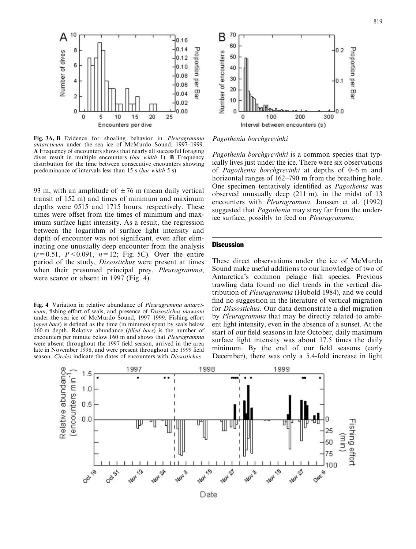

Fig. 3A, B Evidence for shoaling behavior in Pleuragramma antarcticum under the sea ice of McMurdo Sound, 1997–1999. A Frequency of encounters shows that nearly all successful foraging dives result in multiple encounters (bar width 1). B Frequency distribution for the time between consecutive encounters showing predominance of intervals less than 15 s (bar width 5 s)

93 m, with an amplitude of  $\pm 76$  m (mean daily vertical transit of 152 m) and times of minimum and maximum depths were 0515 and 1715 hours, respectively. These times were offset from the times of minimum and maximum surface light intensity. As a result, the regression between the logarithm of surface light intensity and depth of encounter was not significant, even after eliminating one unusually deep encounter from the analysis  $(r=0.51, P<0.091, n=12; Fig. 5C)$ . Over the entire period of the study, Dissostichus were present at times when their presumed principal prey, *Pleuragramma*, were scarce or absent in 1997 (Fig. 4).

Fig. 4 Variation in relative abundance of Pleuragramma antarcticum, fishing effort of seals, and presence of Dissostichus mawsoni under the sea ice of McMurdo Sound, 1997–1999. Fishing effort (open bars) is defined as the time (in minutes) spent by seals below 160 m depth. Relative abundance (filled bars) is the number of encounters per minute below 160 m and shows that Pleuragramma were absent throughout the 1997 field season, arrived in the area late in November 1998, and were present throughout the 1999 field season. Circles indicate the dates of encounters with Dissostichus



Pagothenia borchgrevinki

Pagothenia borchgrevinki is a common species that typically lives just under the ice. There were six observations of Pagothenia borchgrevinki at depths of 0–6 m and horizontal ranges of 162–790 m from the breathing hole. One specimen tentatively identified as Pagothenia was observed unusually deep (211 m), in the midst of 13 encounters with *Pleuragramma*. Janssen et al. (1992) suggested that *Pagothenia* may stray far from the underice surface, possibly to feed on Pleuragramma.

#### **Discussion**

These direct observations under the ice of McMurdo Sound make useful additions to our knowledge of two of Antarctica's common pelagic fish species. Previous trawling data found no diel trends in the vertical distribution of Pleuragramma (Hubold 1984), and we could find no suggestion in the literature of vertical migration for Dissostichus. Our data demonstrate a diel migration by Pleuragramma that may be directly related to ambient light intensity, even in the absence of a sunset. At the start of our field seasons in late October, daily maximum surface light intensity was about 17.5 times the daily minimum. By the end of our field seasons (early December), there was only a 5.4-fold increase in light

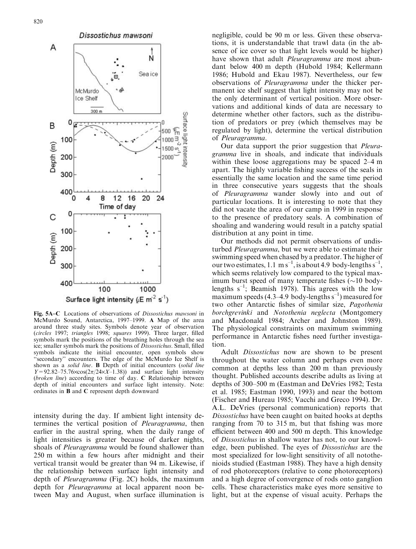

Fig. 5A–C Locations of observations of Dissostichus mawsoni in McMurdo Sound, Antarctica, 1997–1999. A Map of the area around three study sites. Symbols denote year of observation (circles 1997; triangles 1998; squares 1999). Three larger, filled symbols mark the positions of the breathing holes through the sea ice; smaller symbols mark the positions of Dissostichus. Small, filled symbols indicate the initial encounter, open symbols show 'secondary'' encounters. The edge of the McMurdo Ice Shelf is shown as a solid line. **B** Depth of initial encounters (solid line  $Y=92.82-75.76\times\cos(2\pi/24\times X-1.38)$  and surface light intensity (broken line) according to time of day.  $C$  Relationship between depth of initial encounters and surface light intensity. Note: ordinates in B and C represent depth downward

intensity during the day. If ambient light intensity determines the vertical position of Pleuragramma, then earlier in the austral spring, when the daily range of light intensities is greater because of darker nights, shoals of Pleuragramma would be found shallower than 250 m within a few hours after midnight and their vertical transit would be greater than 94 m. Likewise, if the relationship between surface light intensity and depth of Pleuragramma (Fig. 2C) holds, the maximum depth for Pleuragramma at local apparent noon between May and August, when surface illumination is negligible, could be 90 m or less. Given these observations, it is understandable that trawl data (in the absence of ice cover so that light levels would be higher) have shown that adult *Pleuragramma* are most abundant below 400 m depth (Hubold 1984; Kellermann 1986; Hubold and Ekau 1987). Nevertheless, our few observations of Pleuragramma under the thicker permanent ice shelf suggest that light intensity may not be the only determinant of vertical position. More observations and additional kinds of data are necessary to determine whether other factors, such as the distribution of predators or prey (which themselves may be regulated by light), determine the vertical distribution of Pleuragramma.

Our data support the prior suggestion that Pleuragramma live in shoals, and indicate that individuals within these loose aggregations may be spaced 2–4 m apart. The highly variable fishing success of the seals in essentially the same location and the same time period in three consecutive years suggests that the shoals of Pleuragramma wander slowly into and out of particular locations. It is interesting to note that they did not vacate the area of our camp in 1999 in response to the presence of predatory seals. A combination of shoaling and wandering would result in a patchy spatial distribution at any point in time.

Our methods did not permit observations of undisturbed Pleuragramma, but we were able to estimate their swimmingspeed when chased by a predator. The higher of our two estimates, 1.1 m  $s^{-1}$ , is about 4.9 body-lengths  $s^{-1}$ , which seems relatively low compared to the typical maximum burst speed of many temperate fishes  $(\sim 10$  bodylengths  $s^{-1}$ ; Beamish 1978). This agrees with the low maximum speeds (4.3–4.9 body-lengths  $s^{-1}$ ) measured for two other Antarctic fishes of similar size, Pagothenia borchgrevinki and Notothenia neglecta (Montgomery and Macdonald 1984; Archer and Johnston 1989). The physiological constraints on maximum swimming performance in Antarctic fishes need further investigation.

Adult Dissostichus now are shown to be present throughout the water column and perhaps even more common at depths less than 200 m than previously thought. Published accounts describe adults as living at depths of 300–500 m (Eastman and DeVries 1982; Testa et al. 1985; Eastman 1990, 1993) and near the bottom (Fischer and Hureau 1985; Vacchi and Greco 1994). Dr. A.L. DeVries (personal communication) reports that Dissostichus have been caught on baited hooks at depths ranging from 70 to 315 m, but that fishing was more efficient between 400 and 500 m depth. This knowledge of Dissostichus in shallow water has not, to our knowledge, been published. The eyes of Dissostichus are the most specialized for low-light sensitivity of all notothenioids studied (Eastman 1988). They have a high density of rod photoreceptors (relative to cone photoreceptors) and a high degree of convergence of rods onto ganglion cells. These characteristics make eyes more sensitive to light, but at the expense of visual acuity. Perhaps the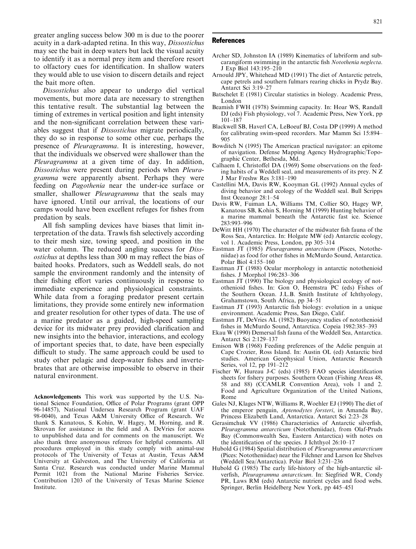greater angling success below 300 m is due to the poorer acuity in a dark-adapted retina. In this way, Dissostichus may see the bait in deep waters but lack the visual acuity to identify it as a normal prey item and therefore resort to olfactory cues for identification. In shallow waters they would able to use vision to discern details and reject the bait more often.

Dissostichus also appear to undergo diel vertical movements, but more data are necessary to strengthen this tentative result. The substantial lag between the timing of extremes in vertical position and light intensity and the non-significant correlation between these variables suggest that if Dissostichus migrate periodically, they do so in response to some other cue, perhaps the presence of Pleuragramma. It is interesting, however, that the individuals we observed were shallower than the Pleuragramma at a given time of day. In addition, Dissostichus were present during periods when *Pleura*gramma were apparently absent. Perhaps they were feeding on *Pagothenia* near the under-ice surface or smaller, shallower *Pleuragramma* that the seals may have ignored. Until our arrival, the locations of our camps would have been excellent refuges for fishes from predation by seals.

All fish sampling devices have biases that limit interpretation of the data. Trawls fish selectively according to their mesh size, towing speed, and position in the water column. The reduced angling success for *Diss*ostichus at depths less than 300 m may reflect the bias of baited hooks. Predators, such as Weddell seals, do not sample the environment randomly and the intensity of their fishingeffort varies continuously in response to immediate experience and physiological constraints. While data from a foraging predator present certain limitations, they provide some entirely new information and greater resolution for other types of data. The use of a marine predator as a guided, high-speed sampling device for its midwater prey provided clarification and new insights into the behavior, interactions, and ecology of important species that, to date, have been especially difficult to study. The same approach could be used to study other pelagic and deep-water fishes and invertebrates that are otherwise impossible to observe in their natural environment.

Acknowledgements This work was supported by the U.S. National Science Foundation, Office of Polar Programs (grant OPP 96-14857), National Undersea Research Program (grant UAF 98-0040), and Texas A&M University Office of Research. We thank S. Kanatous, S. Kohin, W. Hagey, M. Horning, and R. Skrovan for assistance in the field and A. DeVries for access to unpublished data and for comments on the manuscript. We also thank three anonymous referees for helpful comments. All procedures employed in this study comply with animal-use protocols of The University of Texas at Austin, Texas A&M University at Galveston, and The University of California at Santa Cruz. Research was conducted under Marine Mammal Permit 1021 from the National Marine Fisheries Service. Contribution 1203 of the University of Texas Marine Science Institute.

## References

- Archer SD, Johnston IA (1989) Kinematics of labriform and subcarangiform swimming in the antarctic fish Notothenia neglecta. J Exp Biol 143:195–210
- Arnould JPY, Whitehead MD (1991) The diet of Antarctic petrels, cape petrels and southern fulmars rearing chicks in Prydz Bay. Antarct Sci 3:19–27
- Batschelet E (1981) Circular statistics in biology. Academic Press, London
- Beamish FWH (1978) Swimming capacity. In: Hoar WS, Randall DJ (eds) Fish physiology, vol 7. Academic Press, New York, pp 101–187
- Blackwell SB, Haverl CA, LeBoeuf BJ, Costa DP (1999) A method for calibrating swim-speed recorders. Mar Mamm Sci 15:894– 905
- Bowditch N (1995) The American practical navigator: an epitome of navigation. Defense Mapping Agency Hydrographic/Topographic Center, Bethesda, Md.
- Calhaem I, Christoffel DA (1969) Some observations on the feeding habits of a Weddell seal, and measurements of its prey. N Z J Mar Freshw Res 3:181–190
- Castellini MA, Davis RW, Kooyman GL (1992) Annual cycles of diving behavior and ecology of the Weddell seal. Bull Scripps Inst Oceanogr 28:1–54
- Davis RW, Fuiman LA, Williams TM, Collier SO, Hagey WP, Kanatous SB, Kohin S, Horning M (1999) Hunting behavior of a marine mammal beneath the Antarctic fast ice. Science 283:993–996
- DeWitt HH (1970) The character of the midwater fish fauna of the Ross Sea, Antarctica. In: Holgate MW (ed) Antarctic ecology, vol 1. Academic Press, London, pp 305–314
- Eastman JT (1985) Pleuragramma antarctiucm (Pisces, Nototheniidae) as food for other fishes in McMurdo Sound, Antarctica. Polar Biol 4:155–160
- Eastman JT (1988) Ocular morphology in antarctic notothenioid fishes. J Morphol 196:283–306
- Eastman JT (1990) The biology and physiological ecology of notothenioid fishes. In: Gon O, Heemstra PC (eds) Fishes of the Southern Ocean. J.L.B. Smith Institute of Ichthyology, Grahamstown, South Africa, pp 34–51
- Eastman JT (1993) Antarctic fish biology: evolution in a unique environment. Academic Press, San Diego, Calif.
- Eastman JT, DeVries AL (1982) Buoyancy studies of notothenioid fishes in McMurdo Sound, Antarctica. Copeia 1982:385–393
- Ekau W (1990) Demersal fish fauna of the Weddell Sea, Antarctica. Antarct Sci 2:129–137
- Emison WB (1968) Feeding preferences of the Adelie penguin at Cape Crozier, Ross Island. In: Austin OL (ed) Antarctic bird studies. American Geophysical Union, Antarctic Research Series, vol 12, pp 191–212
- Fischer W, Hureau J-C (eds) (1985) FAO species identification sheets for fishery purposes. Southern Ocean (Fishing Areas 48, 58 and 88) (CCAMLR Convention Area), vols 1 and 2. Food and Agriculture Organization of the United Nations, Rome
- Gales NJ, Klages NTW, Williams R, Woehler EJ (1990) The diet of the emperor penguin, Aptenodytes forsteri, in Amanda Bay, Princess Elizabeth Land, Antarctica. Antarct Sci 2:23–28
- Gerasimchuk VV (1986) Characteristics of Antarctic silverfish, Pleuragramma antarcticum (Nototheniidae), from Olaf-Pruds Bay (Commonwealth Sea, Eastern Antarctica) with notes on the identification of the species. J Ichthyol 26:10–17
- Hubold G (1984) Spatial distribution of Pleuragramma antarcticum (Pices: Nototheniidae) near the Filchner and Larson Ice Shelves (Weddell Sea/Antarctica). Polar Biol 3:231–236
- Hubold G (1985) The early life-history of the high-antarctic silverfish, Pleuragramma antarcticum. In: Siegfried WR, Condy PR, Laws RM (eds) Antarctic nutrient cycles and food webs. Springer, Berlin Heidelberg New York, pp 445–451